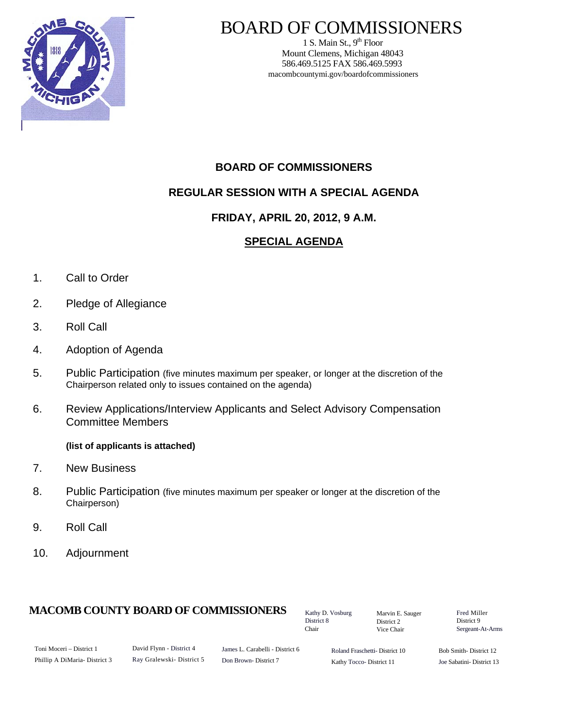

# BOARD OF COMMISSIONERS

1 S. Main St.,  $9<sup>th</sup>$  Floor Mount Clemens, Michigan 48043 586.469.5125 FAX 586.469.5993 macombcountymi.gov/boardofcommissioners

# **BOARD OF COMMISSIONERS**

# **REGULAR SESSION WITH A SPECIAL AGENDA**

### **FRIDAY, APRIL 20, 2012, 9 A.M.**

# **SPECIAL AGENDA**

- 1. Call to Order
- 2. Pledge of Allegiance
- 3. Roll Call
- 4. Adoption of Agenda
- 5. Public Participation (five minutes maximum per speaker, or longer at the discretion of the Chairperson related only to issues contained on the agenda)
- 6. Review Applications/Interview Applicants and Select Advisory Compensation Committee Members

#### **(list of applicants is attached)**

- 7. New Business
- 8. Public Participation (five minutes maximum per speaker or longer at the discretion of the Chairperson)
- 9. Roll Call
- 10. Adjournment

### **MACOMB COUNTY BOARD OF COMMISSIONERS** Factor D. Vosburg Marvin F. Sauger Fred Miller

Kathy D. Vosburg District 8 Chair

Marvin E. Sauger District 2 Vice Chair

District 9 Sergeant-At-Arms

| Toni Moceri – District 1     |
|------------------------------|
| Phillip A DiMaria-District 3 |

David Flynn - District 4 Ray Gralewski- District 5

James L. Carabelli - District 6 Don Brown- District 7

Roland Fraschetti- District 10 Kathy Tocco- District 11

Bob Smith- District 12 Joe Sabatini- District 13